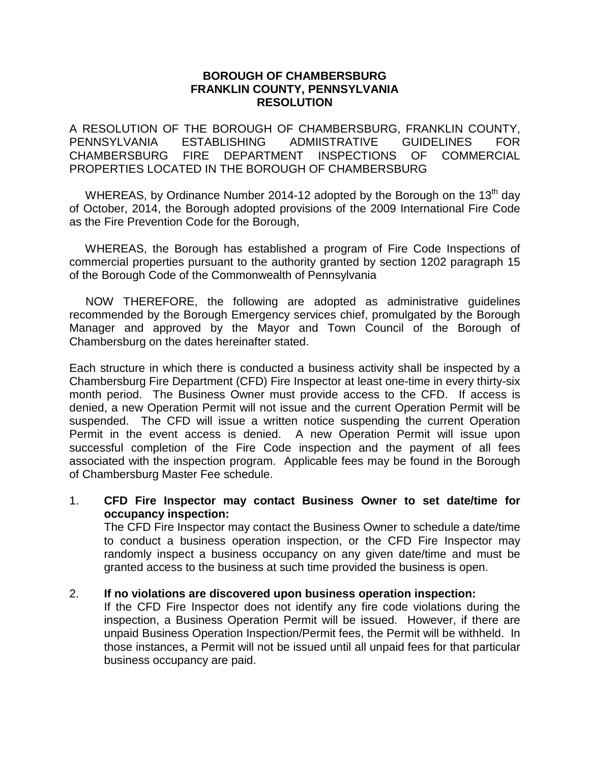### **BOROUGH OF CHAMBERSBURG FRANKLIN COUNTY, PENNSYLVANIA RESOLUTION**

A RESOLUTION OF THE BOROUGH OF CHAMBERSBURG, FRANKLIN COUNTY, PENNSYLVANIA ESTABLISHING ADMIISTRATIVE GUIDELINES FOR CHAMBERSBURG FIRE DEPARTMENT INSPECTIONS OF COMMERCIAL PROPERTIES LOCATED IN THE BOROUGH OF CHAMBERSBURG

WHEREAS, by Ordinance Number 2014-12 adopted by the Borough on the 13<sup>th</sup> day of October, 2014, the Borough adopted provisions of the 2009 International Fire Code as the Fire Prevention Code for the Borough,

 WHEREAS, the Borough has established a program of Fire Code Inspections of commercial properties pursuant to the authority granted by section 1202 paragraph 15 of the Borough Code of the Commonwealth of Pennsylvania

 NOW THEREFORE, the following are adopted as administrative guidelines recommended by the Borough Emergency services chief, promulgated by the Borough Manager and approved by the Mayor and Town Council of the Borough of Chambersburg on the dates hereinafter stated.

Each structure in which there is conducted a business activity shall be inspected by a Chambersburg Fire Department (CFD) Fire Inspector at least one-time in every thirty-six month period. The Business Owner must provide access to the CFD. If access is denied, a new Operation Permit will not issue and the current Operation Permit will be suspended. The CFD will issue a written notice suspending the current Operation Permit in the event access is denied. A new Operation Permit will issue upon successful completion of the Fire Code inspection and the payment of all fees associated with the inspection program. Applicable fees may be found in the Borough of Chambersburg Master Fee schedule.

#### 1. **CFD Fire Inspector may contact Business Owner to set date/time for occupancy inspection:**

The CFD Fire Inspector may contact the Business Owner to schedule a date/time to conduct a business operation inspection, or the CFD Fire Inspector may randomly inspect a business occupancy on any given date/time and must be granted access to the business at such time provided the business is open.

# 2. **If no violations are discovered upon business operation inspection:**

If the CFD Fire Inspector does not identify any fire code violations during the inspection, a Business Operation Permit will be issued. However, if there are unpaid Business Operation Inspection/Permit fees, the Permit will be withheld. In those instances, a Permit will not be issued until all unpaid fees for that particular business occupancy are paid.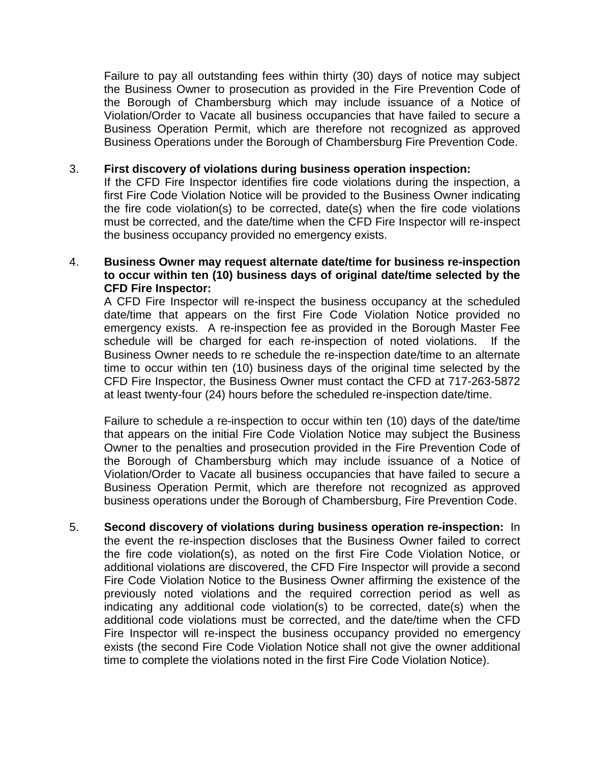Failure to pay all outstanding fees within thirty (30) days of notice may subject the Business Owner to prosecution as provided in the Fire Prevention Code of the Borough of Chambersburg which may include issuance of a Notice of Violation/Order to Vacate all business occupancies that have failed to secure a Business Operation Permit, which are therefore not recognized as approved Business Operations under the Borough of Chambersburg Fire Prevention Code.

### 3. **First discovery of violations during business operation inspection:**

If the CFD Fire Inspector identifies fire code violations during the inspection, a first Fire Code Violation Notice will be provided to the Business Owner indicating the fire code violation(s) to be corrected, date(s) when the fire code violations must be corrected, and the date/time when the CFD Fire Inspector will re-inspect the business occupancy provided no emergency exists.

# 4. **Business Owner may request alternate date/time for business re-inspection to occur within ten (10) business days of original date/time selected by the CFD Fire Inspector:**

A CFD Fire Inspector will re-inspect the business occupancy at the scheduled date/time that appears on the first Fire Code Violation Notice provided no emergency exists. A re-inspection fee as provided in the Borough Master Fee schedule will be charged for each re-inspection of noted violations. If the Business Owner needs to re schedule the re-inspection date/time to an alternate time to occur within ten (10) business days of the original time selected by the CFD Fire Inspector, the Business Owner must contact the CFD at 717-263-5872 at least twenty-four (24) hours before the scheduled re-inspection date/time.

Failure to schedule a re-inspection to occur within ten (10) days of the date/time that appears on the initial Fire Code Violation Notice may subject the Business Owner to the penalties and prosecution provided in the Fire Prevention Code of the Borough of Chambersburg which may include issuance of a Notice of Violation/Order to Vacate all business occupancies that have failed to secure a Business Operation Permit, which are therefore not recognized as approved business operations under the Borough of Chambersburg, Fire Prevention Code.

5. **Second discovery of violations during business operation re-inspection:** In the event the re-inspection discloses that the Business Owner failed to correct the fire code violation(s), as noted on the first Fire Code Violation Notice, or additional violations are discovered, the CFD Fire Inspector will provide a second Fire Code Violation Notice to the Business Owner affirming the existence of the previously noted violations and the required correction period as well as indicating any additional code violation(s) to be corrected, date(s) when the additional code violations must be corrected, and the date/time when the CFD Fire Inspector will re-inspect the business occupancy provided no emergency exists (the second Fire Code Violation Notice shall not give the owner additional time to complete the violations noted in the first Fire Code Violation Notice).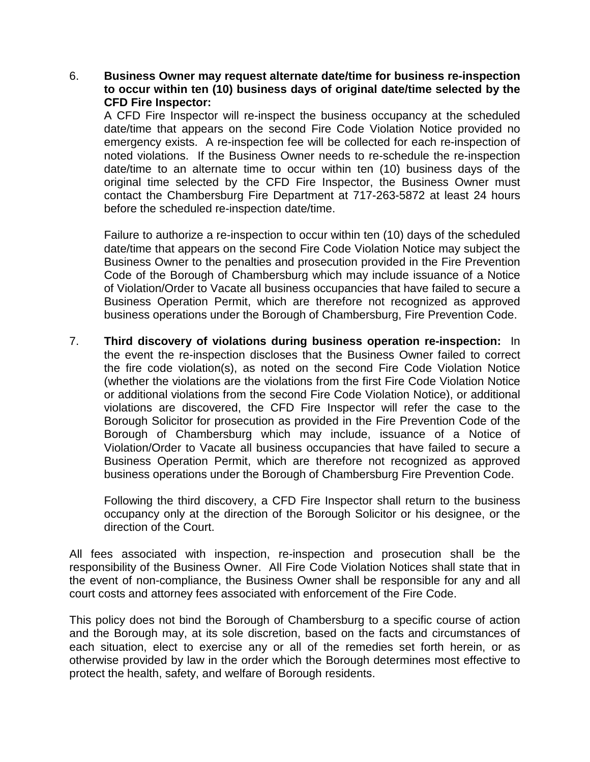6. **Business Owner may request alternate date/time for business re-inspection to occur within ten (10) business days of original date/time selected by the CFD Fire Inspector:**

A CFD Fire Inspector will re-inspect the business occupancy at the scheduled date/time that appears on the second Fire Code Violation Notice provided no emergency exists. A re-inspection fee will be collected for each re-inspection of noted violations. If the Business Owner needs to re-schedule the re-inspection date/time to an alternate time to occur within ten (10) business days of the original time selected by the CFD Fire Inspector, the Business Owner must contact the Chambersburg Fire Department at 717-263-5872 at least 24 hours before the scheduled re-inspection date/time.

Failure to authorize a re-inspection to occur within ten (10) days of the scheduled date/time that appears on the second Fire Code Violation Notice may subject the Business Owner to the penalties and prosecution provided in the Fire Prevention Code of the Borough of Chambersburg which may include issuance of a Notice of Violation/Order to Vacate all business occupancies that have failed to secure a Business Operation Permit, which are therefore not recognized as approved business operations under the Borough of Chambersburg, Fire Prevention Code.

7. **Third discovery of violations during business operation re-inspection:** In the event the re-inspection discloses that the Business Owner failed to correct the fire code violation(s), as noted on the second Fire Code Violation Notice (whether the violations are the violations from the first Fire Code Violation Notice or additional violations from the second Fire Code Violation Notice), or additional violations are discovered, the CFD Fire Inspector will refer the case to the Borough Solicitor for prosecution as provided in the Fire Prevention Code of the Borough of Chambersburg which may include, issuance of a Notice of Violation/Order to Vacate all business occupancies that have failed to secure a Business Operation Permit, which are therefore not recognized as approved business operations under the Borough of Chambersburg Fire Prevention Code.

Following the third discovery, a CFD Fire Inspector shall return to the business occupancy only at the direction of the Borough Solicitor or his designee, or the direction of the Court.

All fees associated with inspection, re-inspection and prosecution shall be the responsibility of the Business Owner. All Fire Code Violation Notices shall state that in the event of non-compliance, the Business Owner shall be responsible for any and all court costs and attorney fees associated with enforcement of the Fire Code.

This policy does not bind the Borough of Chambersburg to a specific course of action and the Borough may, at its sole discretion, based on the facts and circumstances of each situation, elect to exercise any or all of the remedies set forth herein, or as otherwise provided by law in the order which the Borough determines most effective to protect the health, safety, and welfare of Borough residents.